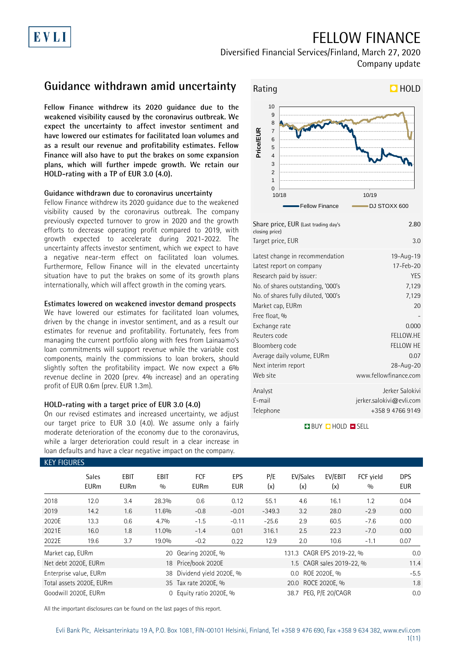# EVLI

## FELLOW FINANCE

Diversified Financial Services/Finland, March 27, 2020 Company update

## **Guidance withdrawn amid uncertainty**

**Fellow Finance withdrew its 2020 guidance due to the weakened visibility caused by the coronavirus outbreak. We expect the uncertainty to affect investor sentiment and have lowered our estimates for facilitated loan volumes and as a result our revenue and profitability estimates. Fellow Finance will also have to put the brakes on some expansion plans, which will further impede growth. We retain our HOLD-rating with a TP of EUR 3.0 (4.0).**

### **Guidance withdrawn due to coronavirus uncertainty**

Fellow Finance withdrew its 2020 guidance due to the weakened visibility caused by the coronavirus outbreak. The company previously expected turnover to grow in 2020 and the growth efforts to decrease operating profit compared to 2019, with growth expected to accelerate during 2021-2022. The uncertainty affects investor sentiment, which we expect to have a negative near-term effect on facilitated loan volumes. Furthermore, Fellow Finance will in the elevated uncertainty situation have to put the brakes on some of its growth plans internationally, which will affect growth in the coming years.

### **Estimates lowered on weakened investor demand prospects**

We have lowered our estimates for facilitated loan volumes, driven by the change in investor sentiment, and as a result our estimates for revenue and profitability. Fortunately, fees from managing the current portfolio along with fees from Lainaamo's loan commitments will support revenue while the variable cost components, mainly the commissions to loan brokers, should slightly soften the profitability impact. We now expect a 6% revenue decline in 2020 (prev. 4% increase) and an operating profit of EUR 0.6m (prev. EUR 1.3m).

### **HOLD-rating with a target price of EUR 3.0 (4.0)**

On our revised estimates and increased uncertainty, we adjust our target price to EUR 3.0 (4.0). We assume only a fairly moderate deterioration of the economy due to the coronavirus, while a larger deterioration could result in a clear increase in loan defaults and have a clear negative impact on the company.



| Share price, EUR (Last trading day's<br>closing price)                                                                                                                                                                                                                                                           | 2.80                                                                                                                 |
|------------------------------------------------------------------------------------------------------------------------------------------------------------------------------------------------------------------------------------------------------------------------------------------------------------------|----------------------------------------------------------------------------------------------------------------------|
| Target price, EUR                                                                                                                                                                                                                                                                                                | 3.0                                                                                                                  |
| Latest change in recommendation<br>Latest report on company<br>Research paid by issuer:<br>No. of shares outstanding, '000's<br>No. of shares fully diluted, '000's<br>Market cap, EURm<br>Free float, %<br>Exchange rate<br>Reuters code<br>Bloomberg code<br>Average daily volume, EURm<br>Next interim report | 19-Aug-19<br>17-Feb-20<br><b>YES</b><br>7,129<br>7,129<br>20<br>0.000<br>FELLOW.HE<br>FELLOW HE<br>0.07<br>28-Aug-20 |
| Web site                                                                                                                                                                                                                                                                                                         | www.fellowfinance.com                                                                                                |
| Analyst<br>E-mail<br>Telephone                                                                                                                                                                                                                                                                                   | Jerker Salokivi<br>jerker.salokivi@evli.com<br>+358 9 4766 9149                                                      |

### **BUY CHOLD EISELL**

| <b>KEY FIGURES</b>   |                             |                            |                    |                           |                   |                    |                           |                |                  |                          |
|----------------------|-----------------------------|----------------------------|--------------------|---------------------------|-------------------|--------------------|---------------------------|----------------|------------------|--------------------------|
|                      | <b>Sales</b><br><b>EURm</b> | <b>EBIT</b><br><b>EURm</b> | <b>EBIT</b><br>0/0 | <b>FCF</b><br><b>EURm</b> | EPS<br><b>EUR</b> | P/E<br>(x)         | EV/Sales<br>(x)           | EV/EBIT<br>(x) | FCF yield<br>0/0 | <b>DPS</b><br><b>EUR</b> |
| 2018                 | 12.0                        | 3.4                        | 28.3%              | 0.6                       | 0.12              | 55.1               | 4.6                       | 16.1           | 1.2              | 0.04                     |
| 2019                 | 14.2                        | 1.6                        | 11.6%              | $-0.8$                    | $-0.01$           | $-349.3$           | 3.2                       | 28.0           | $-2.9$           | 0.00                     |
| 2020E                | 13.3                        | 0.6                        | 4.7%               | $-1.5$                    | $-0.11$           | $-25.6$            | 2.9                       | 60.5           | $-7.6$           | 0.00                     |
| 2021E                | 16.0                        | 1.8                        | 11.0%              | $-1.4$                    | 0.01              | 316.1              | 2.5                       | 22.3           | $-7.0$           | 0.00                     |
| 2022E                | 19.6                        | 3.7                        | 19.0%              | $-0.2$                    | 0.22              | 12.9               | 2.0                       | 10.6           | $-1.1$           | 0.07                     |
| Market cap, EURm     |                             |                            |                    | 20 Gearing 2020E, %       |                   |                    | 131.3 CAGR EPS 2019-22, % |                |                  | 0.0                      |
| Net debt 2020E, EURm |                             |                            |                    | 18 Price/book 2020E       |                   |                    | 1.5 CAGR sales 2019-22, % | 11.4           |                  |                          |
|                      | Enterprise value, EURm      |                            | 38                 | Dividend yield 2020E, %   |                   | 0.0 ROE 2020E. %   |                           |                |                  | $-5.5$                   |
|                      | Total assets 2020E, EURm    |                            |                    | 35 Tax rate 2020E, %      |                   | 20.0 ROCE 2020E, % |                           |                |                  | 1.8                      |
| Goodwill 2020E, EURm |                             |                            | $\Omega$           | Equity ratio 2020E, %     |                   |                    | 38.7 PEG, P/E 20/CAGR     | 0.0            |                  |                          |

All the important disclosures can be found on the last pages of this report.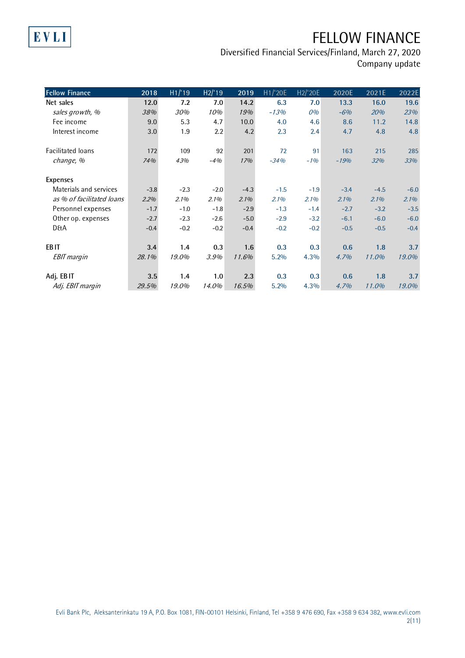# EVLI

# FELLOW FINANCE

| <b>Fellow Finance</b>     | 2018   | H1/19  | H2/19  | 2019   | H1/'20E | H2/'20E | 2020E  | 2021E  | 2022E  |
|---------------------------|--------|--------|--------|--------|---------|---------|--------|--------|--------|
| Net sales                 | 12.0   | 7.2    | 7.0    | 14.2   | 6.3     | 7.0     | 13.3   | 16.0   | 19.6   |
| sales growth, %           | 38%    | 30%    | 10%    | 19%    | $-13%$  | 0%      | $-6%$  | 20%    | 23%    |
| Fee income                | 9.0    | 5.3    | 4.7    | 10.0   | 4.0     | 4.6     | 8.6    | 11.2   | 14.8   |
| Interest income           | 3.0    | 1.9    | 2.2    | 4.2    | 2.3     | 2.4     | 4.7    | 4.8    | 4.8    |
| Facilitated loans         | 172    | 109    | 92     | 201    | 72      | 91      | 163    | 215    | 285    |
| change, %                 | 74%    | 43%    | $-4%$  | 17%    | $-34%$  | $-1%$   | $-19%$ | 32%    | 33%    |
| <b>Expenses</b>           |        |        |        |        |         |         |        |        |        |
| Materials and services    | $-3.8$ | $-2.3$ | $-2.0$ | $-4.3$ | $-1.5$  | $-1.9$  | $-3.4$ | $-4.5$ | $-6.0$ |
| as % of facilitated loans | 2.2%   | 2.1%   | 2.1%   | 2.1%   | 2.1%    | 2.1%    | 2.1%   | 2.1%   | 2.1%   |
| Personnel expenses        | $-1.7$ | $-1.0$ | $-1.8$ | $-2.9$ | $-1.3$  | $-1.4$  | $-2.7$ | $-3.2$ | $-3.5$ |
| Other op. expenses        | $-2.7$ | $-2.3$ | $-2.6$ | $-5.0$ | $-2.9$  | $-3.2$  | $-6.1$ | $-6.0$ | $-6.0$ |
| <b>D&amp;A</b>            | $-0.4$ | $-0.2$ | $-0.2$ | $-0.4$ | $-0.2$  | $-0.2$  | $-0.5$ | $-0.5$ | $-0.4$ |
| EB <sub>IT</sub>          | 3.4    | 1.4    | 0.3    | 1.6    | 0.3     | 0.3     | 0.6    | 1.8    | 3.7    |
| <b>EBIT</b> margin        | 28.1%  | 19.0%  | 3.9%   | 11.6%  | 5.2%    | 4.3%    | 4.7%   | 11.0%  | 19.0%  |
| Adj. EBIT                 | 3.5    | 1.4    | 1.0    | 2.3    | 0.3     | 0.3     | 0.6    | 1.8    | 3.7    |
| Adj. EBIT margin          | 29.5%  | 19.0%  | 14.0%  | 16.5%  | 5.2%    | 4.3%    | 4.7%   | 11.0%  | 19.0%  |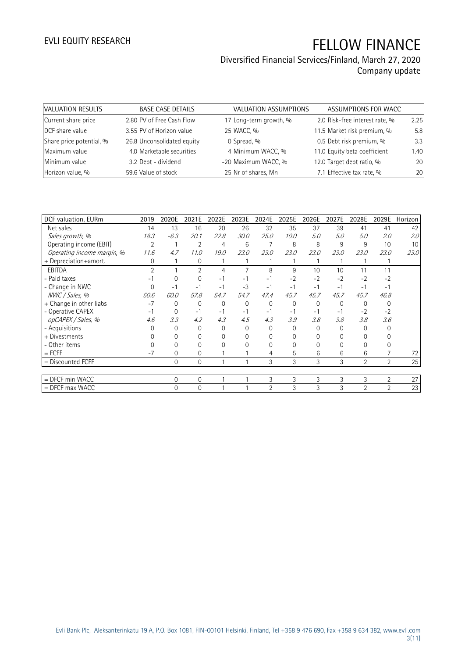| VALUATION RESULTS        | <b>BASE CASE DETAILS</b>   | <b>VALUATION ASSUMPTIONS</b> | ASSUMPTIONS FOR WACC           |      |
|--------------------------|----------------------------|------------------------------|--------------------------------|------|
| Current share price      | 2.80 PV of Free Cash Flow  | 17 Long-term growth, %       | 2.0 Risk-free interest rate, % | 2.25 |
| DCF share value          | 3.55 PV of Horizon value   | 25 WACC, %                   | 11.5 Market risk premium, %    | 5.8  |
| Share price potential, % | 26.8 Unconsolidated equity | 0 Spread, %                  | 0.5 Debt risk premium, %       | 3.3  |
| Maximum value            | 4.0 Marketable securities  | 4 Minimum WACC, %            | 11.0 Equity beta coefficient   | 1.40 |
| Minimum value            | 3.2 Debt - dividend        | -20 Maximum WACC, %          | 12.0 Target debt ratio, %      | 20   |
| Horizon value, %         | 59.6 Value of stock        | 25 Nr of shares, Mn          | 7.1 Effective tax rate, %      | 20   |

| DCF valuation, EURm        | 2019           | 2020E          | 2021E          | 2022E        | 2023E          | 2024E          | 2025E       | 2026E | 2027E | 2028E    | 2029E          | Horizon |
|----------------------------|----------------|----------------|----------------|--------------|----------------|----------------|-------------|-------|-------|----------|----------------|---------|
| Net sales                  | 14             | 13             | 16             | 20           | 26             | 32             | 35          | 37    | 39    | 41       | 41             | 42      |
| Sales growth, %            | 18.3           | $-6.3$         | 20.1           | 22.8         | 30.0           | 25.0           | 10.0        | 5.0   | 5.0   | 5.0      | 2.0            | 2.0     |
| Operating income (EBIT)    | $\overline{2}$ |                | $\overline{2}$ | 4            | 6              |                | 8           | 8     | 9     | 9        | 10             | 10      |
| Operating income margin, % | 11.6           | 4.7            | 11.0           | 19.0         | 23.0           | 23.0           | 23.0        | 23.0  | 23.0  | 23.0     | 23.0           | 23.0    |
| + Depreciation+amort.      | 0              |                | 0              |              |                |                |             |       |       |          |                |         |
| <b>EBITDA</b>              | $\overline{2}$ |                | $\overline{2}$ | 4            | 7              | 8              | 9           | 10    | 10    | 11       | 11             |         |
| - Paid taxes               |                | 0              | 0              | $-1$         | -1             | $-1$           | $-2$        | $-2$  | $-2$  | $-2$     | $-2$           |         |
| - Change in NWC            | $\Omega$       | $-1$           | $-1$           | $-1$         | $-3$           | $-1$           | $-1$        | $-1$  | $-1$  | $-1$     | $-1$           |         |
| NWC / Sales, %             | 50.6           | 60.0           | 57.8           | 54.7         | 54.7           | 47.4           | 45.7        | 45.7  | 45.7  | 45.7     | 46.8           |         |
| + Change in other liabs    | $-7$           | 0              | 0              | $\mathbf{0}$ | $\overline{0}$ | 0              | $\mathbf 0$ | 0     | 0     | $\Omega$ | 0              |         |
| - Operative CAPEX          | $-1$           | 0              | $-1$           | $-1$         | $-1$           | -1             | $-1$        | $-1$  | -1    | $-2$     | $-2$           |         |
| opCAPEX / Sales, %         | 4.6            | 3.3            | 4.2            | 4.3          | 4.5            | 4.3            | 3.9         | 3.8   | 3.8   | 3.8      | 3.6            |         |
| - Acquisitions             | O              | $\Omega$       | $\Omega$       | $\Omega$     | $\Omega$       | 0              | $\Omega$    | 0     | 0     | ∩        | 0              |         |
| + Divestments              |                | 0              | $\Omega$       | $\mathbf 0$  | 0              | 0              | 0           | 0     | 0     |          |                |         |
| - Other items              | $\Omega$       | $\Omega$       | $\Omega$       | $\Omega$     | 0              | 0              | $\Omega$    | 0     | 0     | $\Omega$ | 0              |         |
| $=$ FCFF                   | $-7$           | $\mathbf{0}$   | $\Omega$       |              |                | 4              | 5           | 6     | 6     | 6        | 7              | 72      |
| = Discounted FCFF          |                | $\overline{0}$ | 0              |              |                | 3              | 3           | 3     | 3     | 2        | $\overline{2}$ | 25      |
|                            |                |                |                |              |                |                |             |       |       |          |                |         |
| = DFCF min WACC            |                | $\Omega$       | $\Omega$       |              |                | 3              | 3           | 3     | 3     | 3        | $\overline{2}$ | 27      |
| $=$ DFCF max WACC          |                | 0              | $\overline{0}$ |              |                | $\mathfrak{D}$ | 3           | 3     | 3     | 2        | $\overline{2}$ | 23      |
|                            |                |                |                |              |                |                |             |       |       |          |                |         |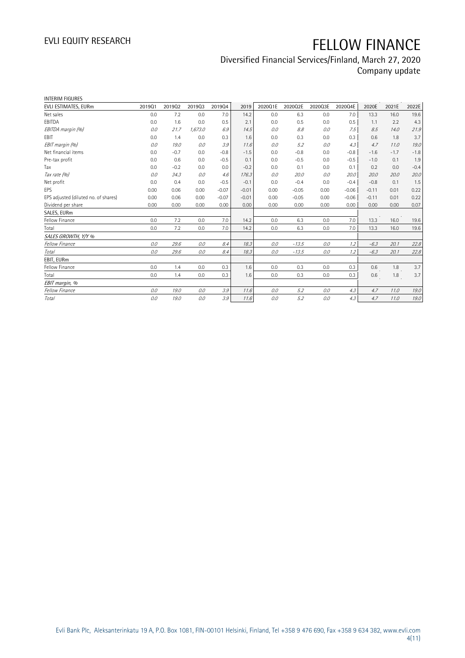| <b>INTERIM FIGURES</b>               |        |        |         |         |         |         |         |         |         |         |        |        |
|--------------------------------------|--------|--------|---------|---------|---------|---------|---------|---------|---------|---------|--------|--------|
| EVLI ESTIMATES, EURm                 | 201901 | 201902 | 201903  | 201904  | 2019    | 2020Q1E | 2020Q2E | 2020Q3E | 2020Q4E | 2020E   | 2021E  | 2022E  |
| Net sales                            | 0.0    | 7.2    | 0.0     | 7.0     | 14.2    | 0.0     | 6.3     | 0.0     | 7.0     | 13.3    | 16.0   | 19.6   |
| EBITDA                               | 0.0    | 1.6    | 0.0     | 0.5     | 2.1     | 0.0     | 0.5     | 0.0     | 0.5     | 1.1     | 2.2    | 4.3    |
| EBITDA margin (%)                    | 0.0    | 21.7   | 1,673.0 | 6.9     | 14.5    | 0.0     | 8.8     | 0.0     | 7.5     | 8.5     | 14.0   | 21.9   |
| <b>FBIT</b>                          | 0.0    | 1.4    | 0.0     | 0.3     | 1.6     | 0.0     | 0.3     | 0.0     | 0.3     | 0.6     | 1.8    | 3.7    |
| EBIT margin (%)                      | 0.0    | 19.0   | 0.0     | 3.9     | 11.6    | 0.0     | 5.2     | 0.0     | 4.3     | 4.7     | 11.0   | 19.0   |
| Net financial items                  | 0.0    | $-0.7$ | 0.0     | $-0.8$  | $-1.5$  | 0.0     | $-0.8$  | 0.0     | $-0.8$  | $-1.6$  | $-1.7$ | $-1.8$ |
| Pre-tax profit                       | 0.0    | 0.6    | 0.0     | $-0.5$  | 0.1     | 0.0     | $-0.5$  | 0.0     | $-0.5$  | $-1.0$  | 0.1    | 1.9    |
| Tax                                  | 0.0    | $-0.2$ | 0.0     | 0.0     | $-0.2$  | 0.0     | 0.1     | 0.0     | 0.1     | 0.2     | 0.0    | $-0.4$ |
| Tax rate (%)                         | 0.0    | 34.3   | 0.0     | 4.6     | 176.3   | 0.0     | 20.0    | 0.0     | 20.0    | 20.0    | 20.0   | 20.0   |
| Net profit                           | 0.0    | 0.4    | 0.0     | $-0.5$  | $-0.1$  | 0.0     | $-0.4$  | 0.0     | $-0.4$  | $-0.8$  | 0.1    | 1.5    |
| <b>EPS</b>                           | 0.00   | 0.06   | 0.00    | $-0.07$ | $-0.01$ | 0.00    | $-0.05$ | 0.00    | $-0.06$ | $-0.11$ | 0.01   | 0.22   |
| EPS adjusted (diluted no. of shares) | 0.00   | 0.06   | 0.00    | $-0.07$ | $-0.01$ | 0.00    | $-0.05$ | 0.00    | $-0.06$ | $-0.11$ | 0.01   | 0.22   |
| Dividend per share                   | 0.00   | 0.00   | 0.00    | 0.00    | 0.00    | 0.00    | 0.00    | 0.00    | 0.00    | 0.00    | 0.00   | 0.07   |
| SALES, EURm                          |        |        |         |         |         |         |         |         |         |         |        |        |
| Fellow Finance                       | 0.0    | 7.2    | 0.0     | 7.0     | 14.2    | 0.0     | 6.3     | 0.0     | 7.0     | 13.3    | 16.0   | 19.6   |
| Total                                | 0.0    | 7.2    | 0.0     | 7.0     | 14.2    | 0.0     | 6.3     | 0.0     | 7.0     | 13.3    | 16.0   | 19.6   |
| SALES GROWTH, Y/Y %                  |        |        |         |         |         |         |         |         |         |         |        |        |
| Fellow Finance                       | 0.0    | 29.6   | 0.0     | 8.4     | 18.3    | 0.0     | $-13.5$ | 0.0     | 1.2     | $-6.3$  | 20.1   | 22.8   |
| Total                                | 0.0    | 29.6   | 0.0     | 8.4     | 18.3    | 0.0     | $-13.5$ | 0.0     | 1.2     | $-6.3$  | 20.1   | 22.8   |
| EBIT, EURm                           |        |        |         |         |         |         |         |         |         |         |        |        |
| Fellow Finance                       | 0.0    | 1.4    | 0.0     | 0.3     | 1.6     | 0.0     | 0.3     | 0.0     | 0.3     | 0.6     | 1.8    | 3.7    |
| Total                                | 0.0    | 1.4    | 0.0     | 0.3     | 1.6     | 0.0     | 0.3     | 0.0     | 0.3     | 0.6     | 1.8    | 3.7    |
| EBIT margin, %                       |        |        |         |         |         |         |         |         |         |         |        |        |
| Fellow Finance                       | 0.0    | 19.0   | 0.0     | 3.9     | 11.6    | 0.0     | 5.2     | 0.0     | 4.3     | 4.7     | 11.0   | 19.0   |
| Total                                | 0.0    | 19.0   | 0.0     | 3.9     | 11.6    | 0.0     | 5.2     | 0.0     | 4.3     | 4.7     | 11.0   | 19.0   |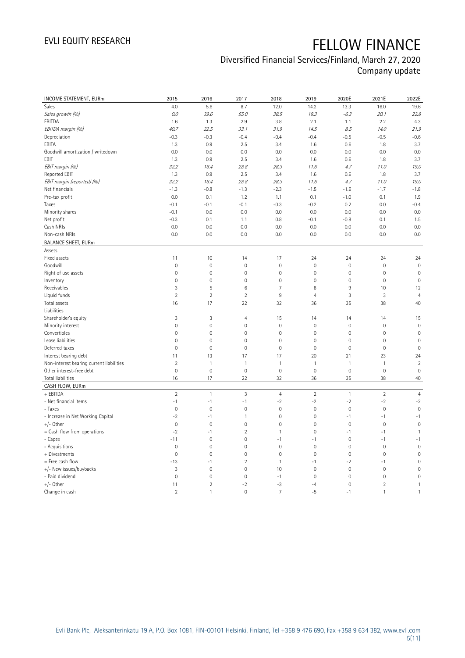## Diversified Financial Services/Finland, March 27, 2020

Company update

| INCOME STATEMENT, EURm                   | 2015                | 2016           | 2017                | 2018           | 2019           | 2020E               | 2021E               | 2022E               |
|------------------------------------------|---------------------|----------------|---------------------|----------------|----------------|---------------------|---------------------|---------------------|
| Sales                                    | 4.0                 | 5.6            | 8.7                 | 12.0           | 14.2           | 13.3                | 16.0                | 19.6                |
| Sales growth (%)                         | 0.0                 | 39.6           | 55.0                | 38.5           | 18.3           | $-6.3$              | 20.1                | 22.8                |
| EBITDA                                   | 1.6                 | 1.3            | 2.9                 | 3.8            | 2.1            | 1.1                 | 2.2                 | 4.3                 |
| EBITDA margin (%)                        | 40.7                | 22.5           | 33.1                | 31.9           | 14.5           | 8.5                 | 14.0                | 21.9                |
| Depreciation                             | $-0.3$              | $-0.3$         | $-0.4$              | $-0.4$         | $-0.4$         | $-0.5$              | $-0.5$              | $-0.6$              |
| EBITA                                    | 1.3                 | 0.9            | 2.5                 | 3.4            | 1.6            | 0.6                 | 1.8                 | 3.7                 |
| Goodwill amortization / writedown        | 0.0                 | 0.0            | 0.0                 | 0.0            | 0.0            | 0.0                 | 0.0                 | 0.0                 |
| EBIT                                     | 1.3                 | 0.9            | 2.5                 | 3.4            | 1.6            | 0.6                 | 1.8                 | 3.7                 |
| EBIT margin (%)                          | 32.2                | 16.4           | 28.8                | 28.3           | 11.6           | 4.7                 | 11.0                | 19.0                |
| Reported EBIT                            | 1.3                 | 0.9            | 2.5                 | 3.4            | 1.6            | 0.6                 | 1.8                 | 3.7                 |
| EBIT margin (reported) (%)               | 32.2                | 16.4           | 28.8                | 28.3           | 11.6           | 4.7                 | 11.0                | 19.0                |
| Net financials                           | $-1.3$              | $-0.8$         | $-1.3$              | $-2.3$         | $-1.5$         | $-1.6$              | $-1.7$              | $-1.8$              |
| Pre-tax profit                           | 0.0                 | 0.1            | 1.2                 | 1.1            | 0.1            | $-1.0$              | 0.1                 | 1.9                 |
| Taxes                                    | $-0.1$              | $-0.1$         | $-0.1$              | $-0.3$         | $-0.2$         | 0.2                 | 0.0                 | $-0.4$              |
| Minority shares                          | $-0.1$              | 0.0            | 0.0                 | 0.0            | 0.0            | 0.0                 | 0.0                 | 0.0                 |
| Net profit                               | $-0.3$              | 0.1            | 1.1                 | 0.8            | $-0.1$         | $-0.8$              | 0.1                 | 1.5                 |
| Cash NRIs                                | 0.0                 | 0.0            | 0.0                 | 0.0            | 0.0            | 0.0                 | 0.0                 | 0.0                 |
| Non-cash NRIs                            | 0.0                 | 0.0            | 0.0                 | 0.0            | 0.0            | 0.0                 | 0.0                 | 0.0                 |
| <b>BALANCE SHEET, EURm</b>               |                     |                |                     |                |                |                     |                     |                     |
| Assets                                   |                     |                |                     |                |                |                     |                     |                     |
| Fixed assets                             | 11                  | 10             | 14                  | 17             | 24             | 24                  | 24                  | 24                  |
| Goodwill                                 | $\mathsf{O}\xspace$ | $\mathbf 0$    | $\mathbf 0$         | $\mathbf 0$    | $\mathbf 0$    | $\mathsf{O}\xspace$ | $\mathbf 0$         | $\mathbf 0$         |
| Right of use assets                      | $\mathbf 0$         | $\mathbb O$    | $\overline{0}$      | $\mathbf 0$    | $\mathbf 0$    | $\mathbf 0$         | $\mathbf 0$         | $\mathbf{0}$        |
| Inventory                                | $\mathsf{O}\xspace$ | $\mathbf 0$    | $\mathbf 0$         | $\mathbf 0$    | $\mathbf 0$    | $\mathsf{O}\xspace$ | $\mathbf 0$         | $\mathbf 0$         |
| Receivables                              | 3                   | 5              | $\,6$               | $\overline{7}$ | 8              | $9\,$               | 10                  | 12                  |
| Liquid funds                             | $\overline{2}$      | $\overline{2}$ | $\overline{2}$      | $\overline{9}$ | $\overline{4}$ | 3                   | 3                   | $\overline{4}$      |
| Total assets                             | 16                  | 17             | 22                  | 32             | 36             | 35                  | 38                  | 40                  |
| Liabilities                              |                     |                |                     |                |                |                     |                     |                     |
| Shareholder's equity                     | 3                   | $\sqrt{3}$     | 4                   | 15             | 14             | 14                  | 14                  | 15                  |
| Minority interest                        | $\mathsf{O}\xspace$ | $\mathbf 0$    | $\mathbb O$         | $\mathbf 0$    | $\mathbf 0$    | $\mathsf{O}\xspace$ | $\mathbf 0$         | $\mathbf 0$         |
| Convertibles                             | 0                   | $\mathbf 0$    | $\mathbb O$         | $\mathbf 0$    | $\mathbf 0$    | $\mathsf{O}\xspace$ | $\mathbf 0$         | $\mathsf{O}\xspace$ |
| Lease liabilities                        | $\mathsf{O}\xspace$ | $\mathbf 0$    | $\mathbb O$         | $\mathbf 0$    | $\mathbf 0$    | $\mathsf{O}\xspace$ | $\mathbf 0$         | $\mathbf 0$         |
| Deferred taxes                           | $\mathsf{O}\xspace$ | $\mathbf 0$    | $\mathbf 0$         | $\mathbf{0}$   | $\mathbf 0$    | $\mathsf{O}\xspace$ | $\mathbf 0$         | $\mathbf 0$         |
| Interest bearing debt                    | 11                  | 13             | 17                  | 17             | 20             | 21                  | 23                  | 24                  |
| Non-interest bearing current liabilities | $\overline{2}$      | $\overline{1}$ | $\mathbf{1}$        | $\mathbf{1}$   | $\mathbf{1}$   | $\mathbf{1}$        | $\mathbf{1}$        | $\sqrt{2}$          |
| Other interest-free debt                 | $\mathsf{O}\xspace$ | $\mathbf 0$    | $\mathsf{O}\xspace$ | $\mathbf 0$    | $\mathbf 0$    | $\mathsf{O}\xspace$ | $\mathbf 0$         | $\mathbf 0$         |
| Total liabilities                        | 16                  | 17             | 22                  | 32             | 36             | 35                  | 38                  | 40                  |
| CASH FLOW, EURm                          |                     |                |                     |                |                |                     |                     |                     |
| + EBITDA                                 | $\overline{2}$      | $\mathbf{1}$   | $\sqrt{3}$          | $\overline{4}$ | $\overline{2}$ | $\mathbf{1}$        | $\overline{2}$      | $\overline{4}$      |
| - Net financial items                    | $-1$                | $-1$           | $-1$                | $-2$           | $-2$           | $-2$                | $-2$                | $-2$                |
| - Taxes                                  | $\mathbf 0$         | $\mathbf{0}$   | $\overline{0}$      | $\mathbf 0$    | $\mathbf 0$    | $\mathbf 0$         | $\mathbf 0$         | $\mathbf 0$         |
| - Increase in Net Working Capital        | $-2$                | $-1$           | $\mathbf{1}$        | $\mathbf 0$    | $\mathbf 0$    | $-1$                | $-1$                | $-1$                |
| +/- Other                                | $\mathbf 0$         | $\mathbf 0$    | $\mathbf 0$         | $\mathbf 0$    | $\overline{0}$ | $\mathbf{0}$        | $\mathsf{O}\xspace$ | $\mathbb O$         |
| $=$ Cash flow from operations            | $-2$                | $-1$           | $\overline{2}$      | $\mathbf{1}$   | $\mathbf 0$    | $-1$                | $-1$                | $\mathbf{1}$        |
| - Capex                                  | $-11$               | $\mathbf 0$    | $\mathbb O$         | $-1$           | $-1$           | $\mathsf{O}\xspace$ | $-1$                | $-1$                |
| - Acquisitions                           | 0                   | $\mathbf 0$    | $\mathbf 0$         | $\mathbf{0}$   | $\mathbf 0$    | $\mathbf{0}$        | $\mathbf 0$         | $\mathbf 0$         |
| + Divestments                            | $\mathsf{O}\xspace$ | $\mathbf 0$    | $\mathsf{O}\xspace$ | $\mathbf 0$    | $\mathbf 0$    | $\mathsf{O}\xspace$ | $\mathbf 0$         | $\mathbf 0$         |
| = Free cash flow                         | $-13$               | $-1$           | $\overline{2}$      | $\mathbf{1}$   | $-1$           | $-2$                | $-1$                | $\mathbf 0$         |
| +/- New issues/buybacks                  | 3                   | $\mathbf 0$    | $\mathbb O$         | 10             | $\mathbf 0$    | $\mathsf{O}\xspace$ | $\mathbf 0$         | $\mathbf 0$         |
| - Paid dividend                          | $\mathsf{O}\xspace$ | $\mathbf 0$    | $\mathbb O$         | $-1$           | $\mathbf 0$    | $\mathsf{O}\xspace$ | $\mathbf 0$         | $\mathbb O$         |
| +/- Other                                | 11                  | $\overline{2}$ | $-2$                | $-3$           | $-4$           | $\overline{0}$      | $\overline{2}$      | $\mathbf{1}$        |
| Change in cash                           | $\overline{2}$      | $\mathbf{1}$   | $\overline{0}$      | $\overline{7}$ | $-5$           | $-1$                | $\mathbf{1}$        | $\mathbf{1}$        |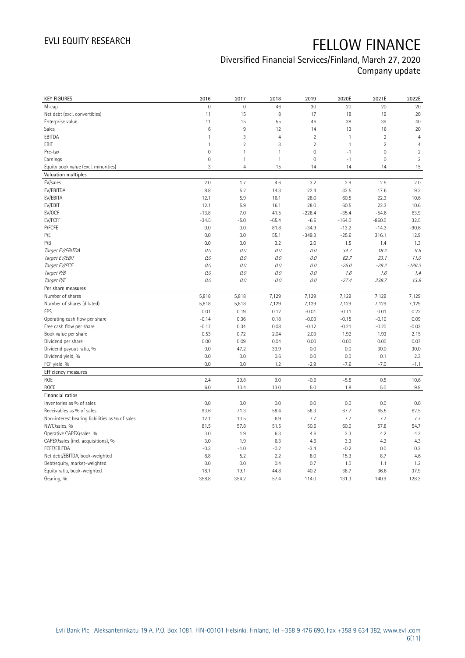| <b>KEY FIGURES</b>                             | 2016                | 2017           | 2018           | 2019           | 2020E        | 2021E               | 2022E          |
|------------------------------------------------|---------------------|----------------|----------------|----------------|--------------|---------------------|----------------|
| M-cap                                          | $\mathbf 0$         | $\mathbf 0$    | 46             | 30             | 20           | 20                  | 20             |
| Net debt (excl. convertibles)                  | 11                  | 15             | 8              | 17             | 18           | 19                  | 20             |
| Enterprise value                               | 11                  | 15             | 55             | 46             | 38           | 39                  | 40             |
| Sales                                          | $\,6$               | $\overline{9}$ | 12             | 14             | 13           | 16                  | 20             |
| EBITDA                                         | $\mathbf{1}$        | $\sqrt{3}$     | $\overline{4}$ | $\sqrt{2}$     | $\mathbf{1}$ | $\overline{c}$      | $\overline{4}$ |
| EBIT                                           | 1                   | $\overline{2}$ | 3              | $\overline{2}$ | $\mathbf{1}$ | $\overline{2}$      | $\overline{4}$ |
| Pre-tax                                        | $\mathbf 0$         | $\mathbf{1}$   | $\mathbf{1}$   | $\overline{0}$ | $-1$         | $\mathbf 0$         | $\overline{2}$ |
| Earnings                                       | $\mathsf{O}\xspace$ | $\mathbf{1}$   | $\mathbf{1}$   | 0              | $-1$         | $\mathsf{O}\xspace$ | $\overline{2}$ |
| Equity book value (excl. minorities)           | 3                   | $\overline{4}$ | 15             | 14             | 14           | 14                  | 15             |
| Valuation multiples                            |                     |                |                |                |              |                     |                |
| EV/sales                                       | 2.0                 | 1.7            | 4.6            | 3.2            | 2.9          | 2.5                 | 2.0            |
| EV/EBITDA                                      | 8.8                 | 5.2            | 14.3           | 22.4           | 33.5         | 17.6                | 9.2            |
| EV/EBITA                                       | 12.1                | 5.9            | 16.1           | 28.0           | 60.5         | 22.3                | 10.6           |
| EV/EBIT                                        | 12.1                | 5.9            | 16.1           | 28.0           | 60.5         | 22.3                | 10.6           |
| EV/OCF                                         | $-13.8$             | 7.0            | 41.5           | $-228.4$       | $-35.4$      | $-54.6$             | 63.9           |
| EV/FCFF                                        | $-34.5$             | $-5.0$         | $-65.4$        | $-6.6$         | $-164.0$     | $-860.0$            | 32.5           |
| P/FCFE                                         | 0.0                 | 0.0            | 81.8           | $-34.9$        | $-13.2$      | $-14.3$             | $-90.6$        |
| P/E                                            | 0.0                 | 0.0            | 55.1           | $-349.3$       | $-25.6$      | 316.1               | 12.9           |
| P/B                                            | 0.0                 | 0.0            | 3.2            | 2.0            | 1.5          | 1.4                 | 1.3            |
| Target EV/EBITDA                               | 0.0                 | 0.0            | 0.0            | 0.0            | 34.7         | 18.2                | 9.5            |
| Target EV/EBIT                                 | 0.0                 | 0.0            | 0.0            | 0.0            | 62.7         | 23.1                | 11.0           |
| Target EV/FCF                                  | 0.0                 | 0.0            | 0.0            | $O.O$          | $-26.0$      | $-29.2$             | $-186.3$       |
| Target P/B                                     | O.O                 | 0.0            | 0.0            | 0.0            | 1.6          | 1.6                 | 1.4            |
| Target P/E                                     | 0.0                 | 0.0            | 0.0            | 0.0            | $-27.4$      | 338.7               | 13.8           |
| Per share measures                             |                     |                |                |                |              |                     |                |
| Number of shares                               | 5,818               | 5,818          | 7,129          | 7,129          | 7,129        | 7,129               | 7,129          |
| Number of shares (diluted)                     | 5,818               | 5,818          | 7,129          | 7,129          | 7,129        | 7,129               | 7,129          |
| EPS                                            | 0.01                | 0.19           | 0.12           | $-0.01$        | $-0.11$      | 0.01                | 0.22           |
| Operating cash flow per share                  | $-0.14$             | 0.36           | 0.18           | $-0.03$        | $-0.15$      | $-0.10$             | 0.09           |
| Free cash flow per share                       | $-0.17$             | 0.34           | 0.08           | $-0.12$        | $-0.21$      | $-0.20$             | $-0.03$        |
| Book value per share                           | 0.53                | 0.72           | 2.04           | 2.03           | 1.92         | 1.93                | 2.15           |
| Dividend per share                             | 0.00                | 0.09           | 0.04           | 0.00           | 0.00         | 0.00                | 0.07           |
| Dividend payout ratio, %                       | 0.0                 | 47.2           | 33.9           | 0.0            | 0.0          | 30.0                | 30.0           |
| Dividend yield, %                              | 0.0                 | 0.0            | 0.6            | 0.0            | 0.0          | 0.1                 | 2.3            |
| FCF yield, %                                   | 0.0                 | 0.0            | 1.2            | $-2.9$         | $-7.6$       | $-7.0$              | $-1.1$         |
| Efficiency measures                            |                     |                |                |                |              |                     |                |
| ROE                                            | 2.4                 | 29.8           | 9.0            | $-0.6$         | $-5.5$       | 0.5                 | 10.6           |
| <b>ROCE</b>                                    | 6.0                 | 13.4           | 13.0           | 5.0            | 1.8          | 5.0                 | 9.9            |
| Financial ratios                               |                     |                |                |                |              |                     |                |
| Inventories as % of sales                      | 0.0                 | 0.0            | 0.0            | 0.0            | 0.0          | 0.0                 | 0.0            |
| Receivables as % of sales                      | 93.6                | 71.3           | 58.4           | 58.3           | 67.7         | 65.5                | 62.5           |
| Non-interest bearing liabilities as % of sales | 12.1                | 13.5           | 6.9            | 7.7            | 7.7          | 7.7                 | 7.7            |
| NWC/sales, %                                   | 81.5                | 57.8           | 51.5           | 50.6           | 60.0         | 57.8                | 54.7           |
|                                                |                     |                |                |                |              |                     |                |
| Operative CAPEX/sales, %                       | 3.0                 | 1.9            | 6.3            | 4.6            | 3.3          | 4.2                 | 4.3            |
| CAPEX/sales (incl. acquisitions), %            | 3.0                 | 1.9            | 6.3            | 4.6            | 3.3          | 4.2                 | 4.3            |
| FCFF/EBITDA                                    | $-0.3$              | $-1.0$         | $-0.2$         | $-3.4$         | $-0.2$       | 0.0                 | 0.3            |
| Net debt/EBITDA, book-weighted                 | 8.8                 | 5.2            | 2.2            | 8.0            | 15.9         | 8.7                 | 4.6            |
| Debt/equity, market-weighted                   | 0.0                 | 0.0            | 0.4            | 0.7            | 1.0          | 1.1                 | 1.2            |
| Equity ratio, book-weighted                    | 18.1                | 19.1           | 44.8           | 40.2           | 38.7         | 36.6                | 37.9           |
| Gearing, %                                     | 358.8               | 354.2          | 57.4           | 114.0          | 131.3        | 140.9               | 128.3          |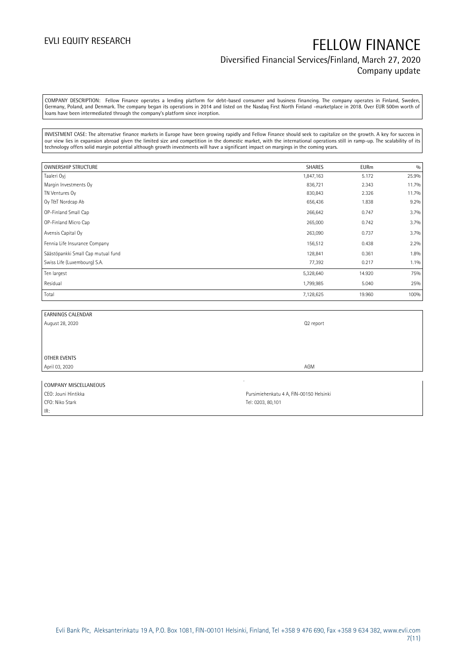## EVLI EQUITY RESEARCH FELLOW FINANCE Diversified Financial Services/Finland, March 27, 2020 Company update

COMPANY DESCRIPTION: Fellow Finance operates a lending platform for debt-based consumer and business financing. The company operates in Finland, Sweden, Germany, Poland, and Denmark. The company began its operations in 2014 and listed on the Nasdaq First North Finland -marketplace in 2018. Over EUR 500m worth of loans have been intermediated through the company's platform since inception.

INVESTMENT CASE: The alternative finance markets in Europe have been growing rapidly and Fellow Finance should seek to capitalize on the growth. A key for success in our view lies in expansion abroad given the limited size and competition in the domestic market, with the international operations still in ramp-up. The scalability of its technology offers solid margin potential although growth investments will have a significant impact on margings in the coming years.

| <b>OWNERSHIP STRUCTURE</b>         | <b>SHARES</b> | <b>EURm</b> | 0/0     |
|------------------------------------|---------------|-------------|---------|
| Taaleri Oyj                        | 1,847,163     | 5.172       | 25.9%   |
| Margin Investments Oy              | 836,721       | 2.343       | 11.7%   |
| TN Ventures Oy                     | 830,843       | 2.326       | 11.7%   |
| Oy T&T Nordcap Ab                  | 656,436       | 1.838       | 9.2%    |
| OP-Finland Small Cap               | 266,642       | 0.747       | 3.7%    |
| OP-Finland Micro Cap               | 265,000       | 0.742       | 3.7%    |
| Avensis Capital Oy                 | 263,090       | 0.737       | 3.7%    |
| Fennia Life Insurance Company      | 156,512       | 0.438       | 2.2%    |
| Säästöpankki Small Cap mutual fund | 128,841       | 0.361       | 1.8%    |
| Swiss Life (Luxembourg) S.A.       | 77,392        | 0.217       | $1.1\%$ |
| Ten largest                        | 5,328,640     | 14.920      | 75%     |
| Residual                           | 1,799,985     | 5.040       | 25%     |
| Total                              | 7,128,625     | 19.960      | 100%    |

| <b>EARNINGS CALENDAR</b> |           |
|--------------------------|-----------|
| August 28, 2020          | Q2 report |
|                          |           |
|                          |           |
|                          |           |
| OTHER EVENTS             |           |
| April 03, 2020           | AGM       |
|                          |           |

| COMPANY MISCELLANEOUS |                                         |
|-----------------------|-----------------------------------------|
| CEO: Jouni Hintikka   | Pursimiehenkatu 4 A, FIN-00150 Helsinki |
| CFO: Niko Stark       | Tel: 0203, 80.101                       |
| IR:                   |                                         |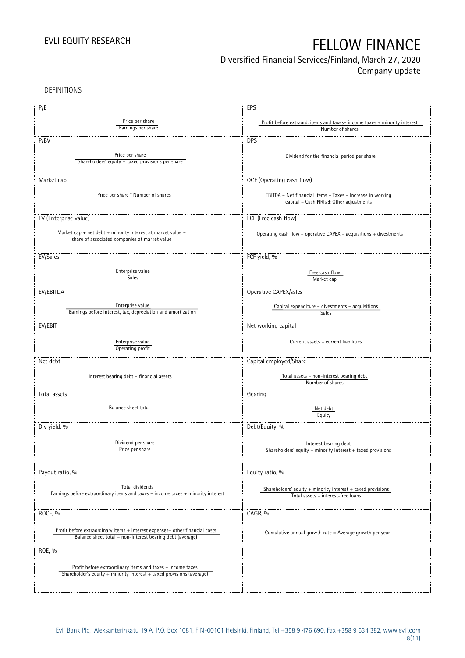## Diversified Financial Services/Finland, March 27, 2020

Company update

DEFINITIONS

| P/E                                                                                                          | EPS                                                                                                   |
|--------------------------------------------------------------------------------------------------------------|-------------------------------------------------------------------------------------------------------|
| Price per share                                                                                              |                                                                                                       |
| Earnings per share                                                                                           | Profit before extraord. items and taxes-income taxes + minority interest<br>Number of shares          |
|                                                                                                              |                                                                                                       |
| P/BV                                                                                                         | <b>DPS</b>                                                                                            |
|                                                                                                              |                                                                                                       |
| Price per share                                                                                              | Dividend for the financial period per share                                                           |
| Shareholders' equity + taxed provisions per share                                                            |                                                                                                       |
|                                                                                                              |                                                                                                       |
| Market cap                                                                                                   | OCF (Operating cash flow)                                                                             |
|                                                                                                              |                                                                                                       |
| Price per share * Number of shares                                                                           | EBITDA - Net financial items - Taxes - Increase in working                                            |
|                                                                                                              | capital - Cash NRIs ± Other adjustments                                                               |
|                                                                                                              |                                                                                                       |
| EV (Enterprise value)                                                                                        | FCF (Free cash flow)                                                                                  |
|                                                                                                              |                                                                                                       |
| Market cap + net debt + minority interest at market value -<br>share of associated companies at market value | Operating cash flow - operative CAPEX - acquisitions + divestments                                    |
|                                                                                                              |                                                                                                       |
|                                                                                                              |                                                                                                       |
| EV/Sales                                                                                                     | FCF yield, %                                                                                          |
| Enterprise value                                                                                             |                                                                                                       |
| Sales                                                                                                        | Free cash flow<br>Market cap                                                                          |
|                                                                                                              |                                                                                                       |
| EV/EBITDA                                                                                                    | Operative CAPEX/sales                                                                                 |
|                                                                                                              |                                                                                                       |
| Enterprise value                                                                                             | Capital expenditure - divestments - acquisitions                                                      |
| Earnings before interest, tax, depreciation and amortization                                                 | Sales                                                                                                 |
| EV/EBIT                                                                                                      | Net working capital                                                                                   |
|                                                                                                              |                                                                                                       |
| Enterprise value                                                                                             | Current assets - current liabilities                                                                  |
| Operating profit                                                                                             |                                                                                                       |
|                                                                                                              |                                                                                                       |
| Net debt                                                                                                     | Capital employed/Share                                                                                |
|                                                                                                              |                                                                                                       |
| Interest bearing debt - financial assets                                                                     | Total assets - non-interest bearing debt<br>Number of shares                                          |
|                                                                                                              |                                                                                                       |
| Total assets                                                                                                 | Gearing                                                                                               |
| Balance sheet total                                                                                          |                                                                                                       |
|                                                                                                              | Net debt<br>Equity                                                                                    |
|                                                                                                              |                                                                                                       |
| Div yield, %                                                                                                 | Debt/Equity, %                                                                                        |
|                                                                                                              |                                                                                                       |
| Dividend per share                                                                                           | Interest bearing debt                                                                                 |
| Price per share                                                                                              | Shareholders' equity + minority interest + taxed provisions                                           |
|                                                                                                              |                                                                                                       |
| Payout ratio, %                                                                                              | Equity ratio, %                                                                                       |
|                                                                                                              |                                                                                                       |
| Total dividends                                                                                              |                                                                                                       |
| Earnings before extraordinary items and taxes - income taxes + minority interest                             | Shareholders' equity $+$ minority interest $+$ taxed provisions<br>Total assets - interest-free loans |
|                                                                                                              |                                                                                                       |
|                                                                                                              |                                                                                                       |
| ROCE, %                                                                                                      | CAGR, %                                                                                               |
|                                                                                                              |                                                                                                       |
| Profit before extraordinary items + interest expenses+ other financial costs                                 | Cumulative annual growth rate = Average growth per year                                               |
| Balance sheet total - non-interest bearing debt (average)                                                    |                                                                                                       |
| ROE, %                                                                                                       |                                                                                                       |
|                                                                                                              |                                                                                                       |
| Profit before extraordinary items and taxes - income taxes                                                   |                                                                                                       |
| Shareholder's equity + minority interest + taxed provisions (average)                                        |                                                                                                       |
|                                                                                                              |                                                                                                       |
|                                                                                                              |                                                                                                       |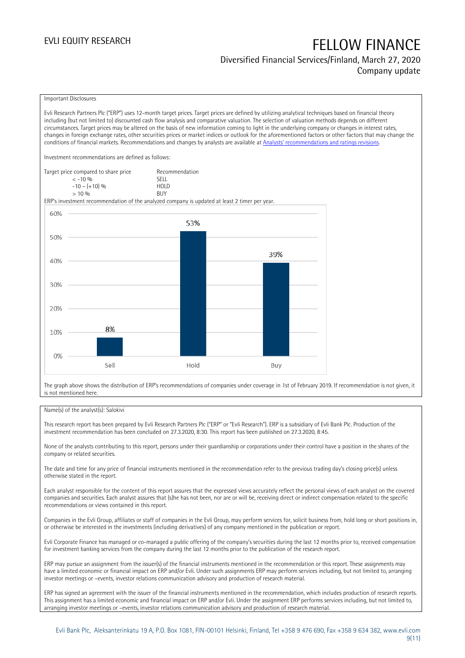## Diversified Financial Services/Finland, March 27, 2020 Company update

### Important Disclosures

Evli Research Partners Plc ("ERP") uses 12-month target prices. Target prices are defined by utilizing analytical techniques based on financial theory including (but not limited to) discounted cash flow analysis and comparative valuation. The selection of valuation methods depends on different circumstances. Target prices may be altered on the basis of new information coming to light in the underlying company or changes in interest rates, changes in foreign exchange rates, other securities prices or market indices or outlook for the aforementioned factors or other factors that may change the conditions of financial markets. Recommendations and changes by analysts are available at [Analysts' recommendations and ratings revisions](https://research.evli.com/JasperAllModels.action?authParam=key;461&authParam=x;G3rNagWrtf7K&authType=3). Investment recommendations are defined as follows: Target price compared to share price Recommendation<br>CELL CALLO 06 < -10 % SELL  $-10 - (+10) \%$  HOL<br>  $> 10 \%$  BUY  $> 10\%$ ERP's investment recommendation of the analyzed company is updated at least 2 timer per year. 60% 53% 50% 39% 40% 30% 20% 8% 10%  $0%$ Hold Sell Buy

The graph above shows the distribution of ERP's recommendations of companies under coverage in 1st of February 2019. If recommendation is not given, it is not mentioned here.

### Name(s) of the analyst(s): Salokivi

This research report has been prepared by Evli Research Partners Plc ("ERP" or "Evli Research"). ERP is a subsidiary of Evli Bank Plc. Production of the investment recommendation has been concluded on 27.3.2020, 8:30. This report has been published on 27.3.2020, 8:45.

None of the analysts contributing to this report, persons under their guardianship or corporations under their control have a position in the shares of the company or related securities.

The date and time for any price of financial instruments mentioned in the recommendation refer to the previous trading day's closing price(s) unless otherwise stated in the report.

Each analyst responsible for the content of this report assures that the expressed views accurately reflect the personal views of each analyst on the covered companies and securities. Each analyst assures that (s)he has not been, nor are or will be, receiving direct or indirect compensation related to the specific recommendations or views contained in this report.

Companies in the Evli Group, affiliates or staff of companies in the Evli Group, may perform services for, solicit business from, hold long or short positions in, or otherwise be interested in the investments (including derivatives) of any company mentioned in the publication or report.

Evli Corporate Finance has managed or co-managed a public offering of the company's securities during the last 12 months prior to, received compensation for investment banking services from the company during the last 12 months prior to the publication of the research report.

ERP may pursue an assignment from the issuer(s) of the financial instruments mentioned in the recommendation or this report. These assignments may have a limited economic or financial impact on ERP and/or Evli. Under such assignments ERP may perform services including, but not limited to, arranging investor meetings or –events, investor relations communication advisory and production of research material.

ERP has signed an agreement with the issuer of the financial instruments mentioned in the recommendation, which includes production of research reports. This assignment has a limited economic and financial impact on ERP and/or Evli. Under the assignment ERP performs services including, but not limited to, arranging investor meetings or –events, investor relations communication advisory and production of research material.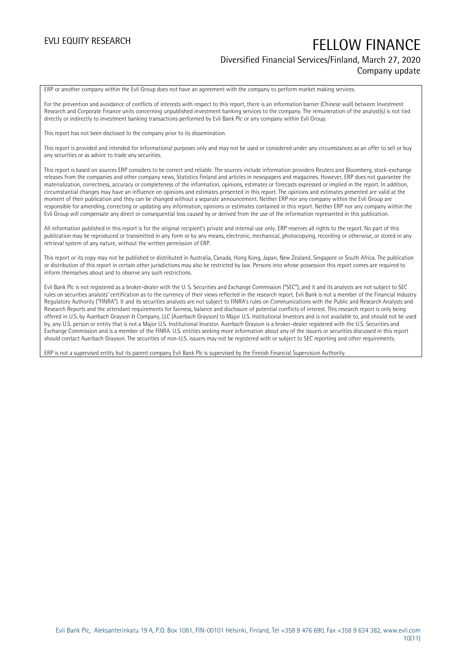## EVLI EQUITY RESEARCH FELLOW FINANCE Diversified Financial Services/Finland, March 27, 2020 Company update

ERP or another company within the Evli Group does not have an agreement with the company to perform market making services.

For the prevention and avoidance of conflicts of interests with respect to this report, there is an information barrier (Chinese wall) between Investment Research and Corporate Finance units concerning unpublished investment banking services to the company. The remuneration of the analyst(s) is not tied directly or indirectly to investment banking transactions performed by Evli Bank Plc or any company within Evli Group.

This report has not been disclosed to the company prior to its dissemination.

This report is provided and intended for informational purposes only and may not be used or considered under any circumstances as an offer to sell or buy any securities or as advice to trade any securities.

This report is based on sources ERP considers to be correct and reliable. The sources include information providers Reuters and Bloomberg, stock-exchange releases from the companies and other company news, Statistics Finland and articles in newspapers and magazines. However, ERP does not guarantee the materialization, correctness, accuracy or completeness of the information, opinions, estimates or forecasts expressed or implied in the report. In addition, circumstantial changes may have an influence on opinions and estimates presented in this report. The opinions and estimates presented are valid at the moment of their publication and they can be changed without a separate announcement. Neither ERP nor any company within the Evli Group are responsible for amending, correcting or updating any information, opinions or estimates contained in this report. Neither ERP nor any company within the Evli Group will compensate any direct or consequential loss caused by or derived from the use of the information represented in this publication.

All information published in this report is for the original recipient's private and internal use only. ERP reserves all rights to the report. No part of this publication may be reproduced or transmitted in any form or by any means, electronic, mechanical, photocopying, recording or otherwise, or stored in any retrieval system of any nature, without the written permission of ERP.

This report or its copy may not be published or distributed in Australia, Canada, Hong Kong, Japan, New Zealand, Singapore or South Africa. The publication or distribution of this report in certain other jurisdictions may also be restricted by law. Persons into whose possession this report comes are required to inform themselves about and to observe any such restrictions.

Evli Bank Plc is not registered as a broker-dealer with the U. S. Securities and Exchange Commission ("SEC"), and it and its analysts are not subject to SEC rules on securities analysts' certification as to the currency of their views reflected in the research report. Evli Bank is not a member of the Financial Industry Regulatory Authority ("FINRA"). It and its securities analysts are not subject to FINRA's rules on Communications with the Public and Research Analysts and Research Reports and the attendant requirements for fairness, balance and disclosure of potential conflicts of interest. This research report is only being offered in U.S. by Auerbach Grayson & Company, LLC (Auerbach Grayson) to Major U.S. Institutional Investors and is not available to, and should not be used by, any U.S. person or entity that is not a Major U.S. Institutional Investor. Auerbach Grayson is a broker-dealer registered with the U.S. Securities and Exchange Commission and is a member of the FINRA. U.S. entities seeking more information about any of the issuers or securities discussed in this report should contact Auerbach Grayson. The securities of non-U.S. issuers may not be registered with or subject to SEC reporting and other requirements.

ERP is not a supervised entity but its parent company Evli Bank Plc is supervised by the Finnish Financial Supervision Authority.